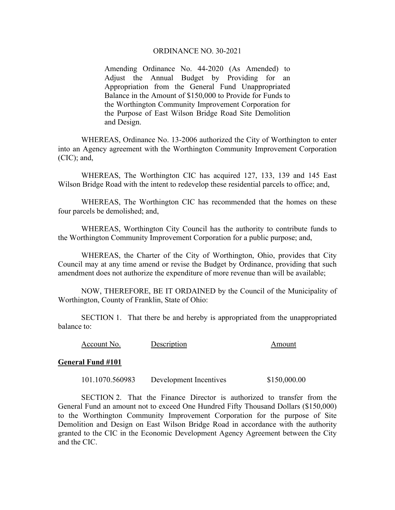## ORDINANCE NO. 30-2021

Amending Ordinance No. 44-2020 (As Amended) to Adjust the Annual Budget by Providing for an Appropriation from the General Fund Unappropriated Balance in the Amount of \$150,000 to Provide for Funds to the Worthington Community Improvement Corporation for the Purpose of East Wilson Bridge Road Site Demolition and Design.

WHEREAS, Ordinance No. 13-2006 authorized the City of Worthington to enter into an Agency agreement with the Worthington Community Improvement Corporation (CIC); and,

WHEREAS, The Worthington CIC has acquired 127, 133, 139 and 145 East Wilson Bridge Road with the intent to redevelop these residential parcels to office; and,

WHEREAS, The Worthington CIC has recommended that the homes on these four parcels be demolished; and,

WHEREAS, Worthington City Council has the authority to contribute funds to the Worthington Community Improvement Corporation for a public purpose; and,

 WHEREAS, the Charter of the City of Worthington, Ohio, provides that City Council may at any time amend or revise the Budget by Ordinance, providing that such amendment does not authorize the expenditure of more revenue than will be available;

 NOW, THEREFORE, BE IT ORDAINED by the Council of the Municipality of Worthington, County of Franklin, State of Ohio:

 SECTION 1. That there be and hereby is appropriated from the unappropriated balance to:

| Account No.<br>Description | Amount |
|----------------------------|--------|
|----------------------------|--------|

## **General Fund #101**

101.1070.560983 Development Incentives \$150,000.00

 SECTION 2. That the Finance Director is authorized to transfer from the General Fund an amount not to exceed One Hundred Fifty Thousand Dollars (\$150,000) to the Worthington Community Improvement Corporation for the purpose of Site Demolition and Design on East Wilson Bridge Road in accordance with the authority granted to the CIC in the Economic Development Agency Agreement between the City and the CIC.